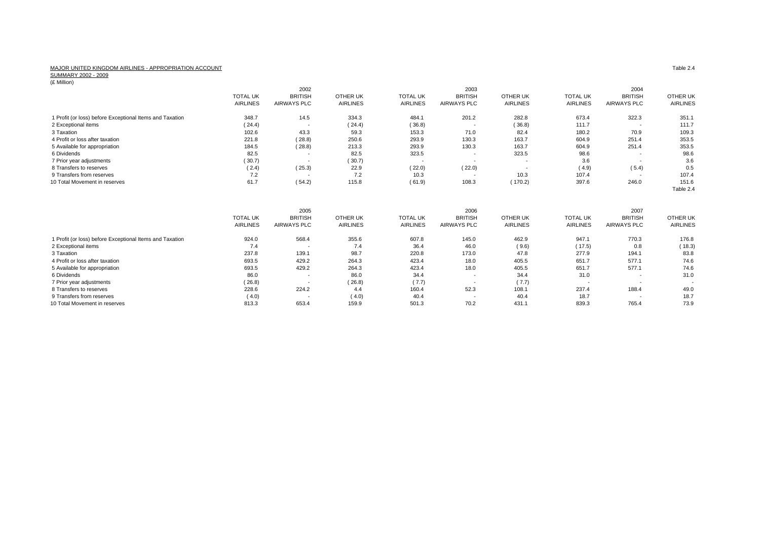## MAJOR UNITED KINGDOM AIRLINES - APPROPRIATION ACCOUNT<br>SUMMARY 2002 - 2009<br>(£ Million)

|                                                          | <b>TOTAL UK</b><br><b>AIRLINES</b> | 2002<br><b>BRITISH</b><br><b>AIRWAYS PLC</b> | <b>OTHER UK</b><br><b>AIRLINES</b> | <b>TOTAL UK</b><br><b>AIRLINES</b> | 2003<br><b>BRITISH</b><br><b>AIRWAYS PLC</b> | OTHER UK<br><b>AIRLINES</b>        | <b>TOTAL UK</b><br><b>AIRLINES</b> | 2004<br><b>BRITISH</b><br><b>AIRWAYS PLC</b> | <b>OTHER UK</b><br><b>AIRLINES</b> |
|----------------------------------------------------------|------------------------------------|----------------------------------------------|------------------------------------|------------------------------------|----------------------------------------------|------------------------------------|------------------------------------|----------------------------------------------|------------------------------------|
| 1 Profit (or loss) before Exceptional Items and Taxation | 348.7                              | 14.5                                         | 334.3                              | 484.1                              | 201.2                                        | 282.8                              | 673.4                              | 322.3                                        | 351.1                              |
| 2 Exceptional items                                      | (24.4)                             |                                              | (24.4)                             | (36.8)                             |                                              | (36.8)                             | 111.7                              | $\overline{\phantom{a}}$                     | 111.7                              |
| 3 Taxation                                               | 102.6                              | 43.3                                         | 59.3                               | 153.3                              | 71.0                                         | 82.4                               | 180.2                              | 70.9                                         | 109.3                              |
| 4 Profit or loss after taxation                          | 221.8                              | (28.8)                                       | 250.6                              | 293.9                              | 130.3                                        | 163.7                              | 604.9                              | 251.4                                        | 353.5                              |
| 5 Available for appropriation                            | 184.5                              | (28.8)                                       | 213.3                              | 293.9                              | 130.3                                        | 163.7                              | 604.9                              | 251.4                                        | 353.5                              |
| 6 Dividends                                              | 82.5                               |                                              | 82.5                               | 323.5                              |                                              | 323.5                              | 98.6                               | $\overline{\phantom{a}}$                     | 98.6                               |
| 7 Prior year adjustments                                 | (30.7)                             | $\overline{\phantom{a}}$                     | (30.7)                             | $\overline{\phantom{a}}$           | $\overline{\phantom{a}}$                     |                                    | 3.6                                | $\overline{\phantom{a}}$                     | 3.6                                |
| 8 Transfers to reserves                                  | (2.4)                              | (25.3)                                       | 22.9                               | (22.0)                             | (22.0)                                       |                                    | (4.9)                              | (5.4)                                        | 0.5                                |
| 9 Transfers from reserves                                | 7.2                                |                                              | 7.2                                | 10.3                               | $\overline{\phantom{a}}$                     | 10.3                               | 107.4                              | $\overline{\phantom{a}}$                     | 107.4                              |
| 10 Total Movement in reserves                            | 61.7                               | (54.2)                                       | 115.8                              | (61.9)                             | 108.3                                        | (170.2)                            | 397.6                              | 246.0                                        | 151.6<br>Table 2.4                 |
|                                                          |                                    | 2005                                         |                                    |                                    | 2006                                         |                                    |                                    | 2007                                         |                                    |
|                                                          | <b>TOTAL UK</b><br><b>AIRLINES</b> | <b>BRITISH</b><br><b>AIRWAYS PLC</b>         | <b>OTHER UK</b><br><b>AIRLINES</b> | <b>TOTAL UK</b><br><b>AIRLINES</b> | <b>BRITISH</b><br><b>AIRWAYS PLC</b>         | <b>OTHER UK</b><br><b>AIRLINES</b> | <b>TOTAL UK</b><br><b>AIRLINES</b> | <b>BRITISH</b><br>AIRWAYS PLC                | <b>OTHER UK</b><br><b>AIRLINES</b> |
| 1 Profit (or loss) before Exceptional Items and Taxation | 924.0                              | 568.4                                        | 355.6                              | 607.8                              | 145.0                                        | 462.9                              | 947.1                              | 770.3                                        | 176.8                              |
| 2 Exceptional items                                      | 7.4                                |                                              | 7.4                                | 36.4                               | 46.0                                         | (9.6)                              | (17.5)                             | 0.8                                          | (18.3)                             |
| 3 Taxation                                               | 237.8                              | 139.1                                        | 98.7                               | 220.8                              | 173.0                                        | 47.8                               | 277.9                              | 194.1                                        | 83.8                               |
| 4 Profit or loss after taxation                          | 693.5                              | 429.2                                        | 264.3                              | 423.4                              | 18.0                                         | 405.5                              | 651.7                              | 577.1                                        | 74.6                               |
| 5 Available for appropriation                            | 693.5                              | 429.2                                        | 264.3                              | 423.4                              | 18.0                                         | 405.5                              | 651.7                              | 577.1                                        | 74.6                               |
| 6 Dividends                                              | 86.0                               |                                              | 86.0                               | 34.4                               |                                              | 34.4                               | 31.0                               | $\overline{\phantom{a}}$                     | 31.0                               |
| 7 Prior year adjustments                                 | (26.8)                             |                                              | (26.8)                             | (7.7)                              |                                              | (7.7)                              | $\overline{\phantom{a}}$           | $\overline{\phantom{a}}$                     |                                    |
| 8 Transfers to reserves                                  | 228.6                              | 224.2                                        | 4.4                                | 160.4                              | 52.3                                         | 108.1                              | 237.4                              | 188.4                                        | 49.0                               |
| 9 Transfers from reserves                                | (4.0)                              |                                              | (4.0)                              | 40.4                               | ٠                                            | 40.4                               | 18.7                               |                                              | 18.7                               |
| 10 Total Movement in reserves                            | 813.3                              | 653.4                                        | 159.9                              | 501.3                              | 70.2                                         | 431.1                              | 839.3                              | 765.4                                        | 73.9                               |

Table 2.4